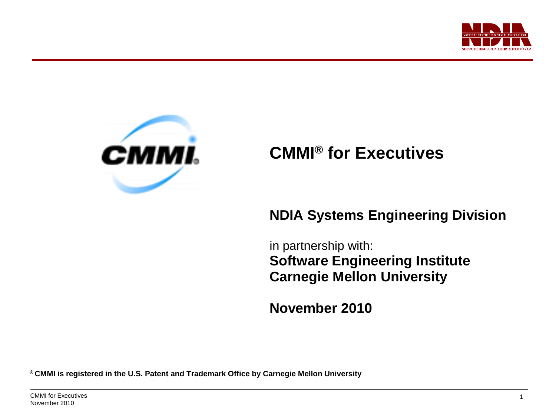



# **CMMI® for Executives**

### **NDIA Systems Engineering Division**

**CMMI Executive Briefing**

in partnership with: **Software Engineering Institute Carnegie Mellon University**

**November 2010**

**® CMMI is registered in the U.S. Patent and Trademark Office by Carnegie Mellon University**

CMMI for Executives November 2010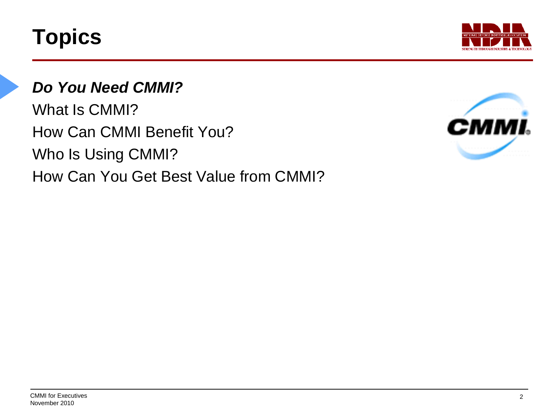

## *Do You Need CMMI?*

What Is CMMI? How Can CMMI Benefit You? Who Is Using CMMI? How Can You Get Best Value from CMMI?

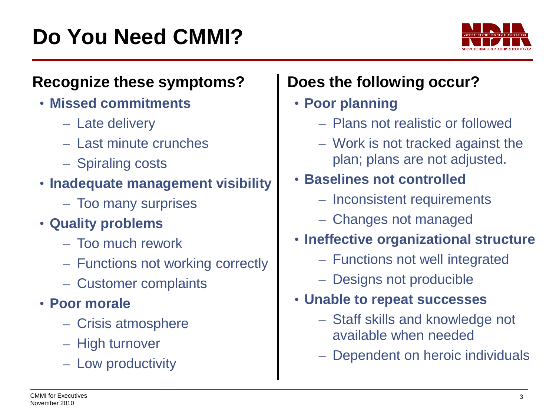

### **Recognize these symptoms?**

- **Missed commitments**
	- Late delivery
	- Last minute crunches
	- Spiraling costs

### • **Inadequate management visibility**

- Too many surprises
- **Quality problems**
	- Too much rework
	- Functions not working correctly
	- Customer complaints
- **Poor morale**
	- Crisis atmosphere
	- High turnover
	- Low productivity

# **Does the following occur?**

### • **Poor planning**

- Plans not realistic or followed
- Work is not tracked against the plan; plans are not adjusted.

## • **Baselines not controlled**

- Inconsistent requirements
- Changes not managed
- **Ineffective organizational structure**
	- Functions not well integrated
	- Designs not producible

### • **Unable to repeat successes**

– Staff skills and knowledge not available when needed

**CMMI Executive Briefing**

– Dependent on heroic individuals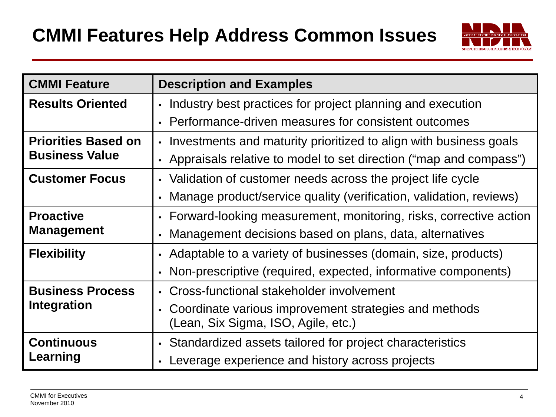

| <b>CMMI Feature</b>                                 | <b>Description and Examples</b>                                     |  |  |  |  |  |
|-----------------------------------------------------|---------------------------------------------------------------------|--|--|--|--|--|
| <b>Results Oriented</b>                             | • Industry best practices for project planning and execution        |  |  |  |  |  |
|                                                     | • Performance-driven measures for consistent outcomes               |  |  |  |  |  |
| <b>Priorities Based on</b><br><b>Business Value</b> | • Investments and maturity prioritized to align with business goals |  |  |  |  |  |
|                                                     | • Appraisals relative to model to set direction ("map and compass") |  |  |  |  |  |
| <b>Customer Focus</b>                               | • Validation of customer needs across the project life cycle        |  |  |  |  |  |
|                                                     | Manage product/service quality (verification, validation, reviews)  |  |  |  |  |  |
| <b>Proactive</b><br><b>Management</b>               | • Forward-looking measurement, monitoring, risks, corrective action |  |  |  |  |  |
|                                                     | • Management decisions based on plans, data, alternatives           |  |  |  |  |  |
| <b>Flexibility</b>                                  | • Adaptable to a variety of businesses (domain, size, products)     |  |  |  |  |  |
|                                                     | • Non-prescriptive (required, expected, informative components)     |  |  |  |  |  |
| <b>Business Process</b>                             | • Cross-functional stakeholder involvement                          |  |  |  |  |  |
| Integration                                         | • Coordinate various improvement strategies and methods             |  |  |  |  |  |
|                                                     | (Lean, Six Sigma, ISO, Agile, etc.)                                 |  |  |  |  |  |
| <b>Continuous</b>                                   | • Standardized assets tailored for project characteristics          |  |  |  |  |  |
| Learning                                            | Leverage experience and history across projects                     |  |  |  |  |  |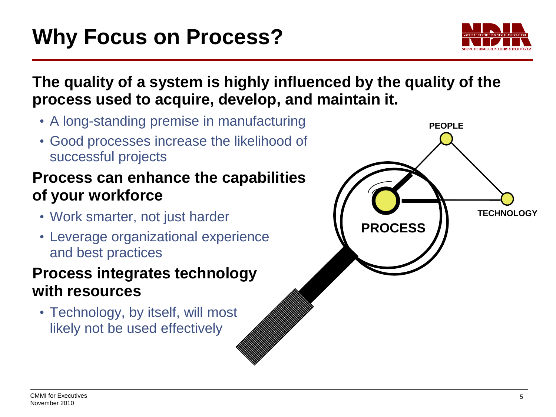

### **The quality of a system is highly influenced by the quality of the process used to acquire, develop, and maintain it.**

- A long-standing premise in manufacturing
- Good processes increase the likelihood of successful projects

### **Process can enhance the capabilities of your workforce**

- Work smarter, not just harder
- Leverage organizational experience and best practices

### **Process integrates technology with resources**

• Technology, by itself, will most likely not be used effectively

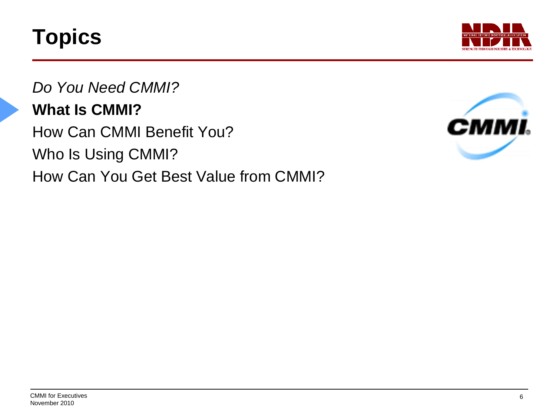

*Do You Need CMMI?* **What Is CMMI?** How Can CMMI Benefit You? Who Is Using CMMI? How Can You Get Best Value from CMMI?

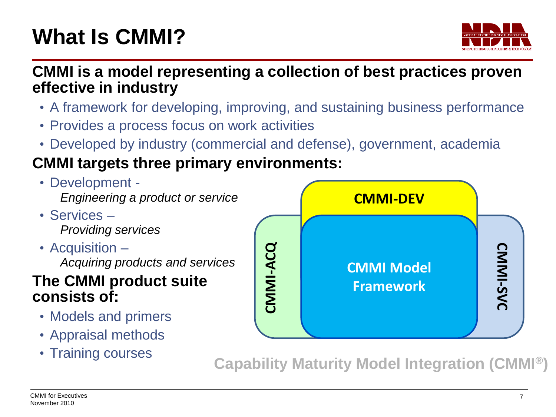# **What Is CMMI?**



**CMMI is a model representing a collection of best practices proven effective in industry**

- A framework for developing, improving, and sustaining business performance
- Provides a process focus on work activities
- Developed by industry (commercial and defense), government, academia

# **CMMI targets three primary environments:**

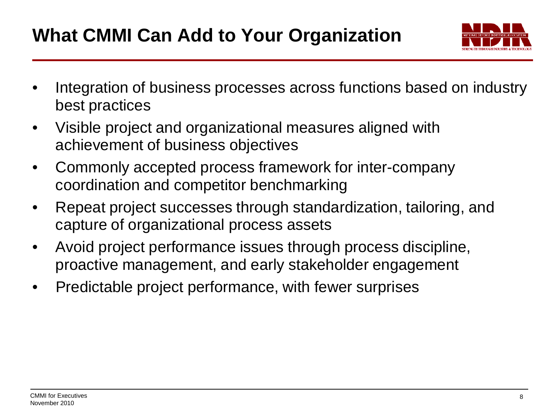# **What CMMI Can Add to Your Organization**



- Integration of business processes across functions based on industry best practices
- Visible project and organizational measures aligned with achievement of business objectives
- Commonly accepted process framework for inter-company coordination and competitor benchmarking
- Repeat project successes through standardization, tailoring, and capture of organizational process assets
- Avoid project performance issues through process discipline, proactive management, and early stakeholder engagement
- Predictable project performance, with fewer surprises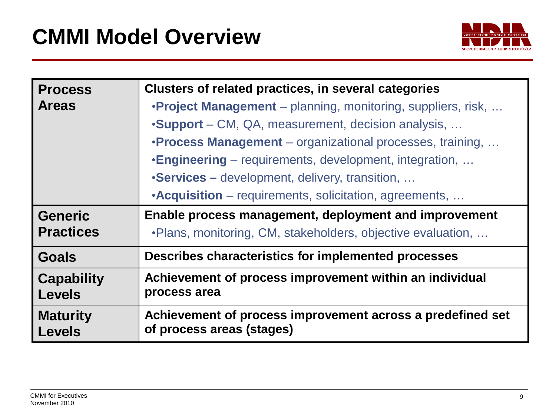

| <b>Process</b>                     | Clusters of related practices, in several categories                                    |  |  |  |  |
|------------------------------------|-----------------------------------------------------------------------------------------|--|--|--|--|
| <b>Areas</b>                       | <b>•Project Management</b> – planning, monitoring, suppliers, risk,                     |  |  |  |  |
|                                    | •Support – CM, QA, measurement, decision analysis,                                      |  |  |  |  |
|                                    | <b>•Process Management</b> – organizational processes, training,                        |  |  |  |  |
|                                    | <b>.Engineering</b> – requirements, development, integration,                           |  |  |  |  |
|                                    | •Services – development, delivery, transition,                                          |  |  |  |  |
|                                    | •Acquisition – requirements, solicitation, agreements,                                  |  |  |  |  |
| <b>Generic</b>                     | Enable process management, deployment and improvement                                   |  |  |  |  |
| <b>Practices</b>                   | . Plans, monitoring, CM, stakeholders, objective evaluation,                            |  |  |  |  |
| <b>Goals</b>                       | Describes characteristics for implemented processes                                     |  |  |  |  |
| <b>Capability</b><br><b>Levels</b> | Achievement of process improvement within an individual<br>process area                 |  |  |  |  |
| <b>Maturity</b><br><b>Levels</b>   | Achievement of process improvement across a predefined set<br>of process areas (stages) |  |  |  |  |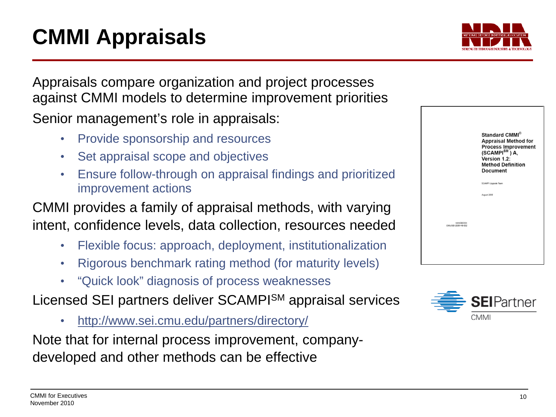# **CMMI Appraisals**

Appraisals compare organization and project processes against CMMI models to determine improvement priorities Senior management's role in appraisals:

- Provide sponsorship and resources
- Set appraisal scope and objectives
- Ensure follow-through on appraisal findings and prioritized improvement actions

CMMI provides a family of appraisal methods, with varying intent, confidence levels, data collection, resources needed

- Flexible focus: approach, deployment, institutionalization
- Rigorous benchmark rating method (for maturity levels)
- "Quick look" diagnosis of process weaknesses

Licensed SEI partners deliver SCAMPISM appraisal services

• <http://www.sei.cmu.edu/partners/directory/>

Note that for internal process improvement, companydeveloped and other methods can be effective





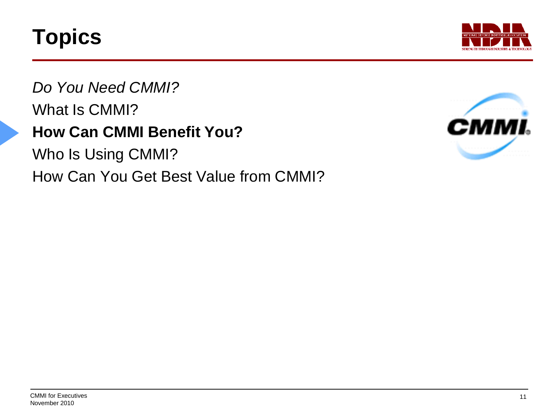

*Do You Need CMMI?* What Is CMMI? **How Can CMMI Benefit You?**

Who Is Using CMMI? How Can You Get Best Value from CMMI?

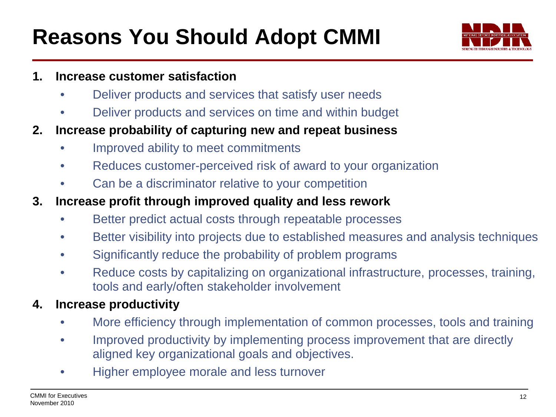# **Reasons You Should Adopt CMMI**



#### **1. Increase customer satisfaction**

- Deliver products and services that satisfy user needs
- Deliver products and services on time and within budget
- **2. Increase probability of capturing new and repeat business**
	- Improved ability to meet commitments
	- Reduces customer-perceived risk of award to your organization
	- Can be a discriminator relative to your competition
- **3. Increase profit through improved quality and less rework**
	- Better predict actual costs through repeatable processes
	- Better visibility into projects due to established measures and analysis techniques
	- Significantly reduce the probability of problem programs
	- Reduce costs by capitalizing on organizational infrastructure, processes, training, tools and early/often stakeholder involvement

#### **4. Increase productivity**

- More efficiency through implementation of common processes, tools and training
- Improved productivity by implementing process improvement that are directly aligned key organizational goals and objectives.
- Higher employee morale and less turnover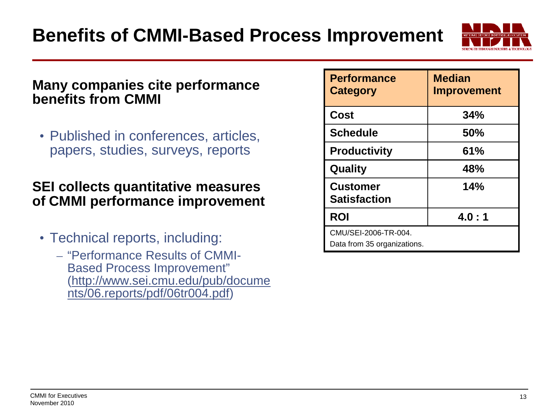

#### **Many companies cite performance benefits from CMMI**

• Published in conferences, articles, papers, studies, surveys, reports

#### **SEI collects quantitative measures of CMMI performance improvement**

- Technical reports, including:
	- "Performance Results of CMMI-Based Process Improvement" ([http://www.sei.cmu.edu/pub/docume](http://www.sei.cmu.edu/pub/documents/06.reports/pdf/06tr004.pdf) [nts/06.reports/pdf/06tr004.pdf](http://www.sei.cmu.edu/pub/documents/06.reports/pdf/06tr004.pdf))

| <b>Performance</b><br><b>Category</b>               | <b>Median</b><br><b>Improvement</b> |  |  |
|-----------------------------------------------------|-------------------------------------|--|--|
| Cost                                                | 34%                                 |  |  |
| <b>Schedule</b>                                     | 50%                                 |  |  |
| <b>Productivity</b>                                 | 61%                                 |  |  |
| Quality                                             | 48%                                 |  |  |
| <b>Customer</b><br><b>Satisfaction</b>              | 14%                                 |  |  |
| <b>ROI</b>                                          | 4.0:1                               |  |  |
| CMU/SEI-2006-TR-004.<br>Data from 35 organizations. |                                     |  |  |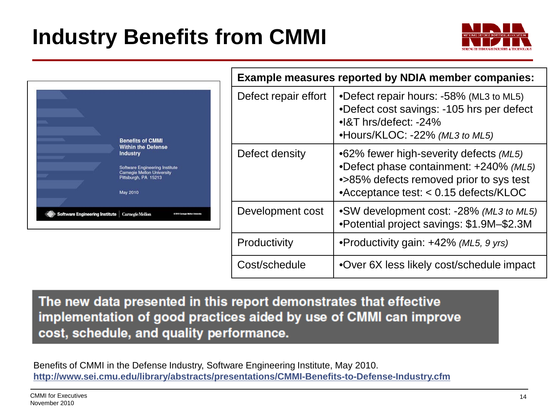# **Industry Benefits from CMMI**





| <b>Example measures reported by NDIA member companies:</b> |                                                                                                                                                                      |  |  |  |  |  |
|------------------------------------------------------------|----------------------------------------------------------------------------------------------------------------------------------------------------------------------|--|--|--|--|--|
| Defect repair effort                                       | •Defect repair hours: -58% (ML3 to ML5)<br>•Defect cost savings: -105 hrs per defect<br>$\bullet$ 8T hrs/defect: -24%<br>•Hours/KLOC: -22% (ML3 to ML5)              |  |  |  |  |  |
| Defect density                                             | •62% fewer high-severity defects (ML5)<br>•Defect phase containment: +240% (ML5)<br>•>85% defects removed prior to sys test<br>•Acceptance test: < 0.15 defects/KLOC |  |  |  |  |  |
| Development cost                                           | •SW development cost: -28% (ML3 to ML5)<br>•Potential project savings: \$1.9M-\$2.3M                                                                                 |  |  |  |  |  |
| Productivity                                               | •Productivity gain: +42% (ML5, 9 yrs)                                                                                                                                |  |  |  |  |  |
| Cost/schedule                                              | •Over 6X less likely cost/schedule impact                                                                                                                            |  |  |  |  |  |

**CMMI Executive Briefing**

The new data presented in this report demonstrates that effective implementation of good practices aided by use of CMMI can improve cost, schedule, and quality performance.

Benefits of CMMI in the Defense Industry, Software Engineering Institute, May 2010[.](http://www.sei.cmu.edu/library/abstracts/presentations/CMMI-Benefits-to-Defense-Industry.cfm) **<http://www.sei.cmu.edu/library/abstracts/presentations/CMMI-Benefits-to-Defense-Industry.cfm>**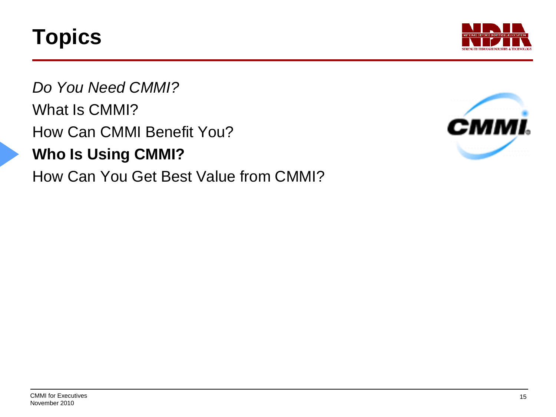

*Do You Need CMMI?* What Is CMMI? How Can CMMI Benefit You? **Who Is Using CMMI?** How Can You Get Best Value from CMMI?

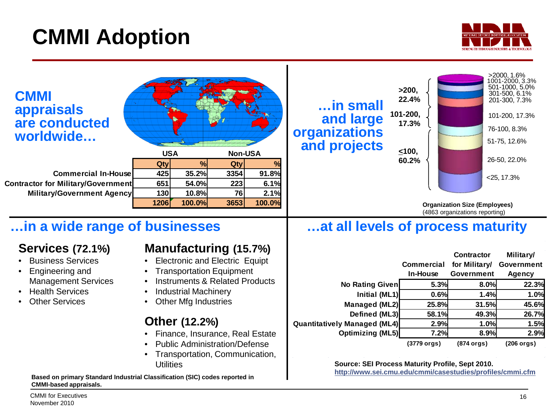# **CMMI Adoption**



| <b>CMMI</b><br><b>appraisals</b><br>are conducted<br>worldwide                                               | <b>USA</b>                                                                                                                      | <b>Non-USA</b>                   |                                      | in small<br>and large<br>organizations<br>and projects                                                                                   | >200.<br>22.4%<br>101-200,<br>17.3%<br>< 100, |                                                               | >2000, 1.6%<br>1001-2000.3.3%<br>501-1000, 5.0%<br>301-500, 6.1%<br>201-300, 7.3%<br>101-200, 17.3%<br>76-100, 8.3%<br>51-75, 12.6% |
|--------------------------------------------------------------------------------------------------------------|---------------------------------------------------------------------------------------------------------------------------------|----------------------------------|--------------------------------------|------------------------------------------------------------------------------------------------------------------------------------------|-----------------------------------------------|---------------------------------------------------------------|-------------------------------------------------------------------------------------------------------------------------------------|
| <b>Commercial In-House</b><br><b>Contractor for Military/Government</b><br><b>Military/Government Agency</b> | $\%$<br>Qty<br>35.2%<br>425<br>651<br>54.0%<br>130<br>10.8%<br>1206<br>100.0%                                                   | Qty<br>3354<br>223<br>76<br>3653 | %<br>91.8%<br>6.1%<br>2.1%<br>100.0% |                                                                                                                                          | 60.2%                                         | <b>Organization Size (Employees)</b>                          | 26-50, 22.0%<br>$<$ 25, 17.3%                                                                                                       |
| in a wide range of businesses<br><b>Services (72.1%)</b><br><b>Business Services</b><br>Engineering and      | <b>Manufacturing (15.7%)</b><br><b>Electronic and Electric Equipt</b><br><b>Transportation Equipment</b>                        |                                  |                                      | at all levels of process maturity                                                                                                        | <b>Commercial</b><br>In-House                 | (4863 organizations reporting)<br>Contractor<br>for Military/ | Military/<br>Government                                                                                                             |
| <b>Management Services</b><br><b>Health Services</b><br><b>Other Services</b>                                | <b>Instruments &amp; Related Products</b><br><b>Industrial Machinery</b><br><b>Other Mfg Industries</b><br><b>Other (12.2%)</b> |                                  |                                      | No Rating Given<br>Initial (ML1)<br>Managed (ML2)<br>Defined (ML3)<br><b>Quantitatively Managed (ML4)</b>                                | 5.3%<br>0.6%<br>25.8%<br>58.1%<br>2.9%        | Government<br>8.0%<br>1.4%<br>31.5%<br>49.3%<br>1.0%          | <b>Agency</b><br>22.3%<br>1.0%<br>45.6%<br>26.7%<br>1.5%                                                                            |
| Based on primary Standard Industrial Classification (SIC) codes reported in<br><b>CMMI-based appraisals.</b> | Finance, Insurance, Real Estate<br><b>Public Administration/Defense</b><br>Transportation, Communication,<br><b>Utilities</b>   |                                  |                                      | <b>Optimizing (ML5)</b><br>Source: SEI Process Maturity Profile, Sept 2010.<br>http://www.sei.cmu.edu/cmmi/casestudies/profiles/cmmi.cfm | 7.2%<br>(3779 orgs)                           | 8.9%<br>(874 orgs)                                            | 2.9%<br>(206 orgs)                                                                                                                  |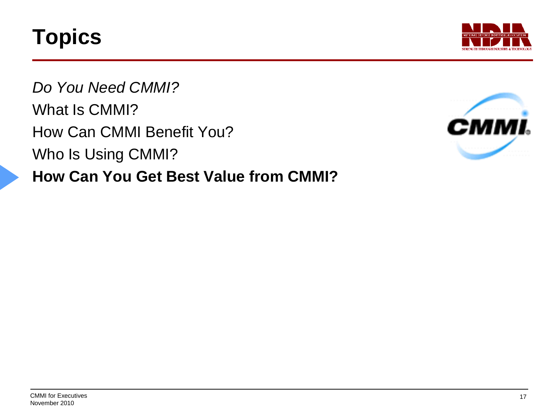

*Do You Need CMMI?* What Is CMMI? How Can CMMI Benefit You? Who Is Using CMMI? **How Can You Get Best Value from CMMI?**

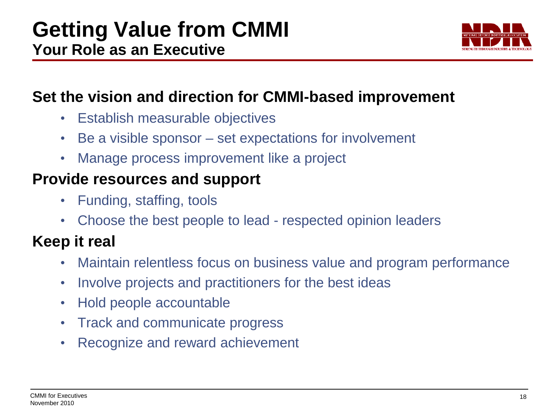

## **Set the vision and direction for CMMI-based improvement**

- Establish measurable objectives
- Be a visible sponsor set expectations for involvement
- Manage process improvement like a project

## **Provide resources and support**

- Funding, staffing, tools
- Choose the best people to lead respected opinion leaders

# **Keep it real**

- Maintain relentless focus on business value and program performance
- Involve projects and practitioners for the best ideas
- Hold people accountable
- Track and communicate progress
- Recognize and reward achievement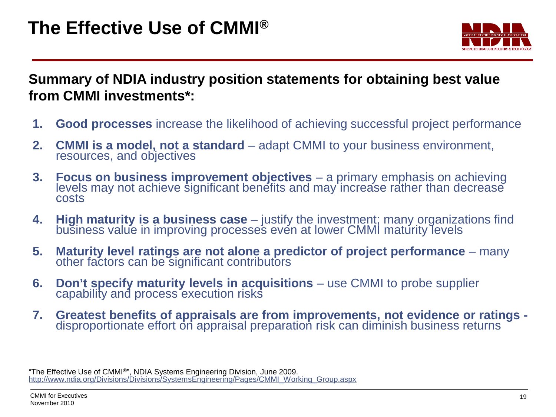

**Summary of NDIA industry position statements for obtaining best value from CMMI investments\*:**

- **1. Good processes** increase the likelihood of achieving successful project performance
- **2. CMMI is a model, not a standard** adapt CMMI to your business environment, resources, and objectives
- **3. Focus on business improvement objectives** a primary emphasis on achieving levels may not achieve significant benefits and may increase rather than decrease costs
- **4. High maturity is a business case** justify the investment; many organizations find business value in improving processes even at lower CMMI maturity levels
- **5. Maturity level ratings are not alone a predictor of project performance** many other factors can be significant contributors
- **6. Don't specify maturity levels in acquisitions** use CMMI to probe supplier capability and process execution risks
- **7. Greatest benefits of appraisals are from improvements, not evidence or ratings -** disproportionate effort on appraisal preparation risk can diminish business returns

"The Effective Use of CMMI®", NDIA Systems Engineering Division, June 2009. [http://www.ndia.org/Divisions/Divisions/SystemsEngineering/Pages/CMMI\\_Working\\_Group.aspx](http://www.ndia.org/Divisions/Divisions/SystemsEngineering/Pages/CMMI_Working_Group.aspx)